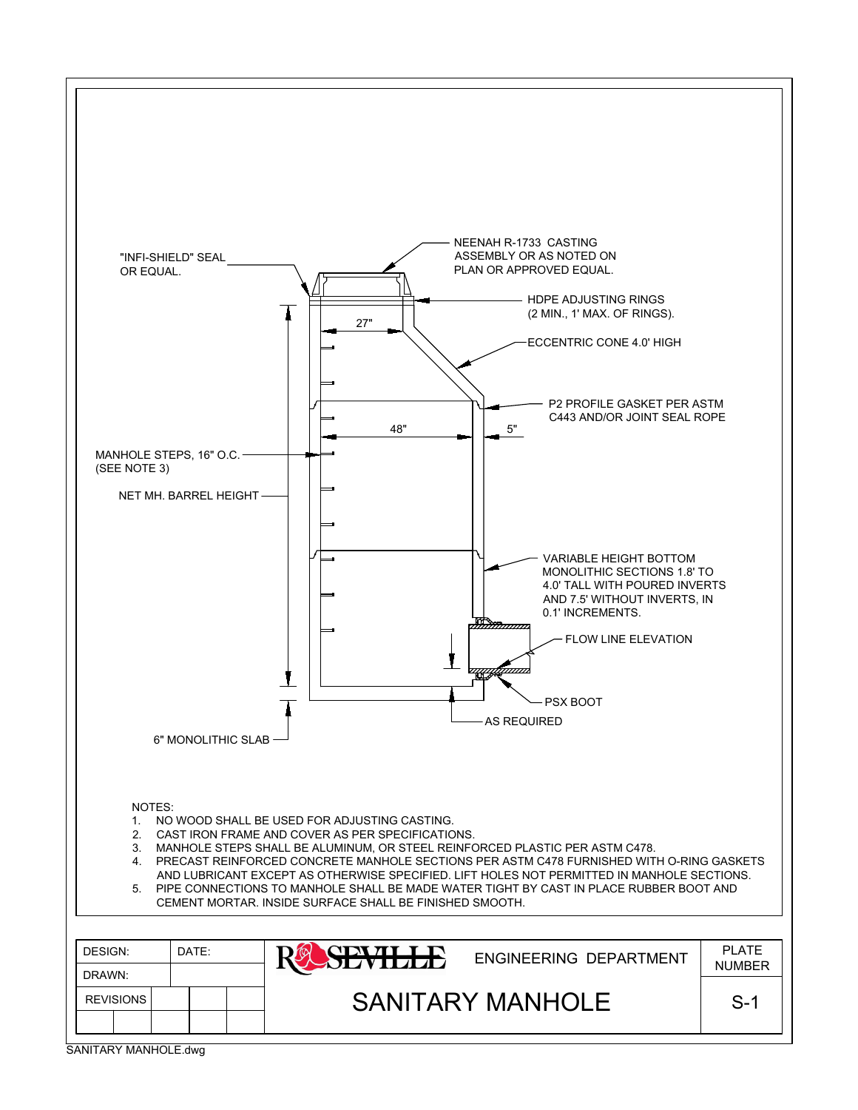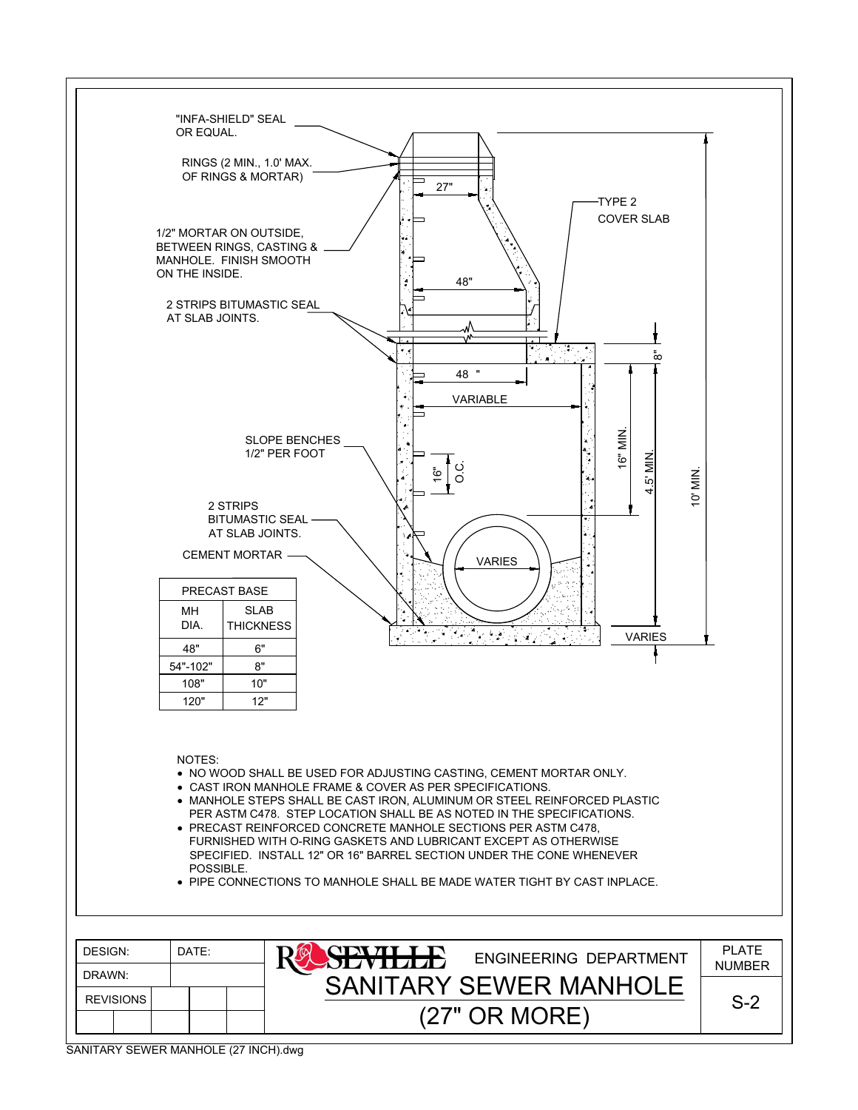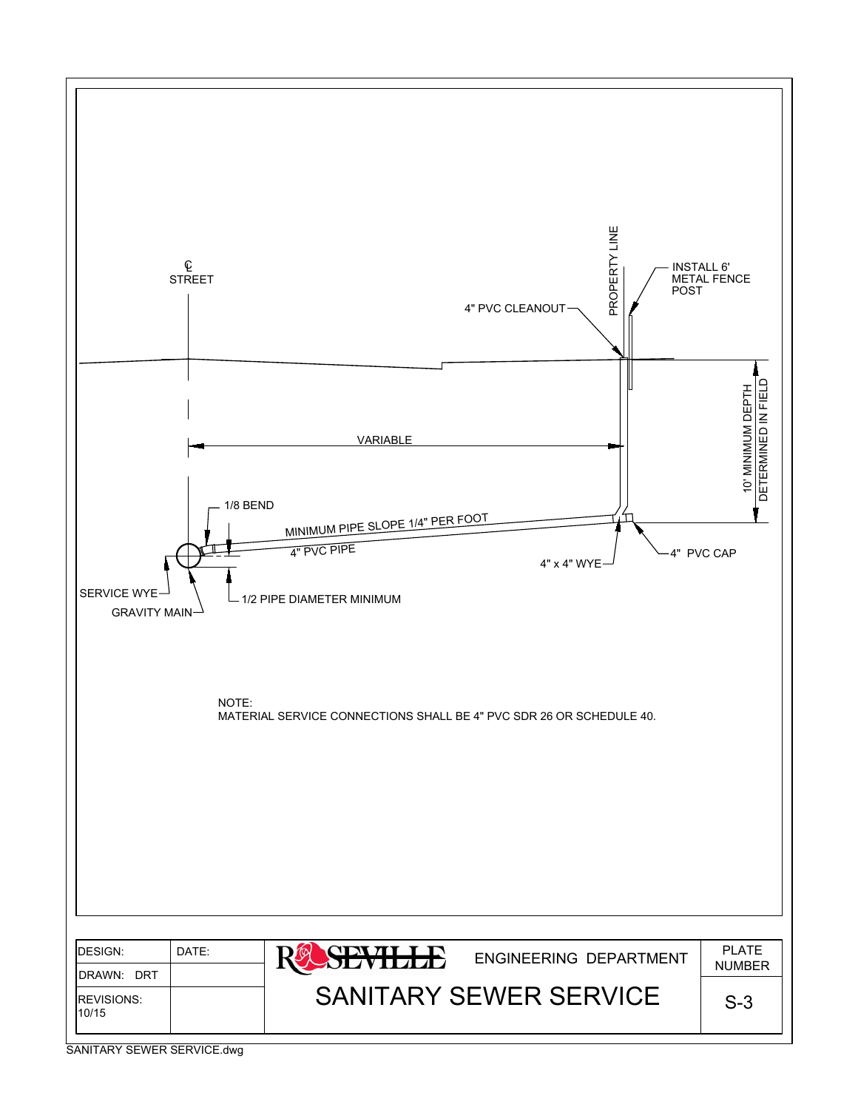

SANITARY SEWER SERVICE.dwg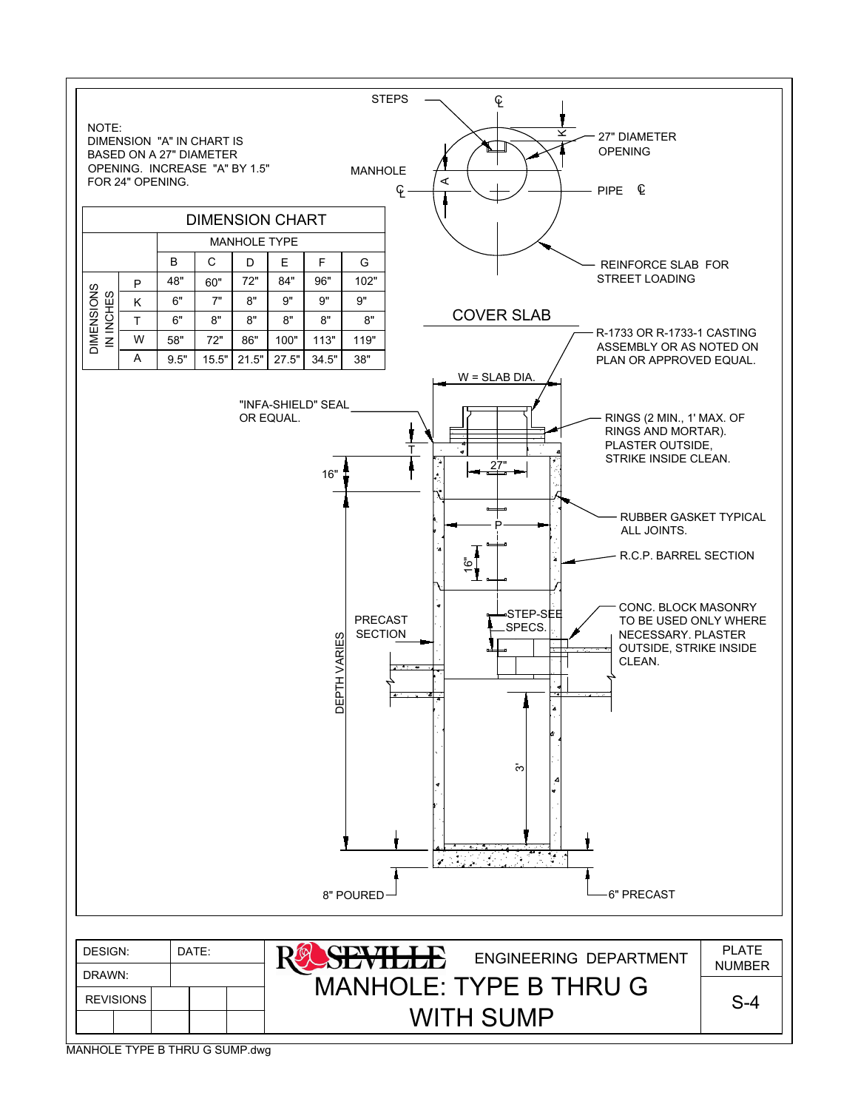

MANHOLE TYPE B THRU G SUMP.dwg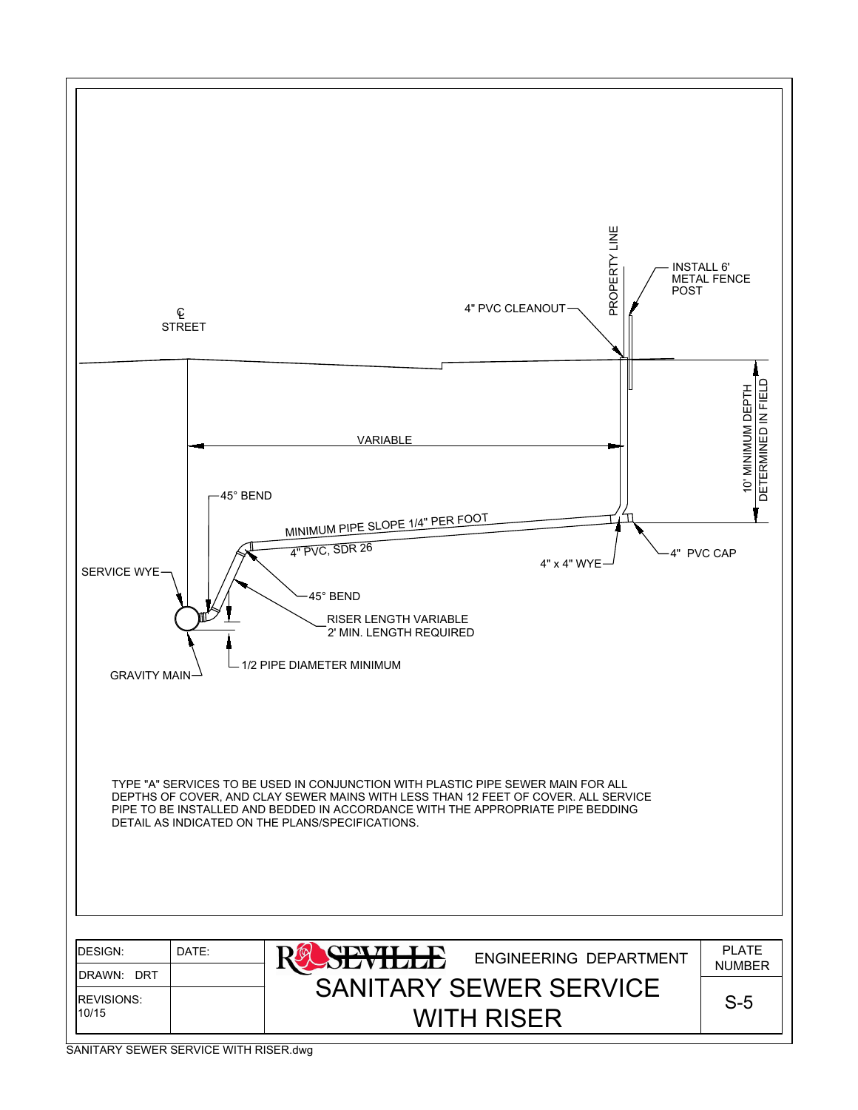

SANITARY SEWER SERVICE WITH RISER.dwg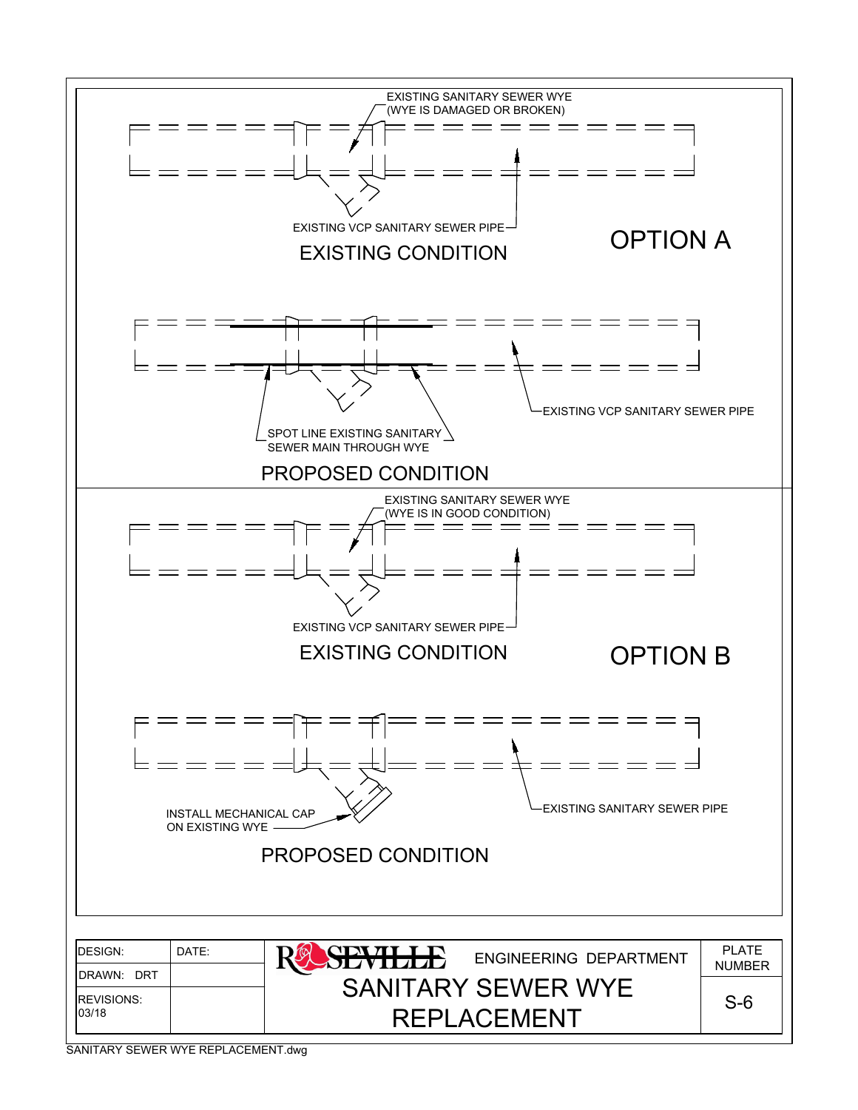

SANITARY SEWER WYE REPLACEMENT.dwg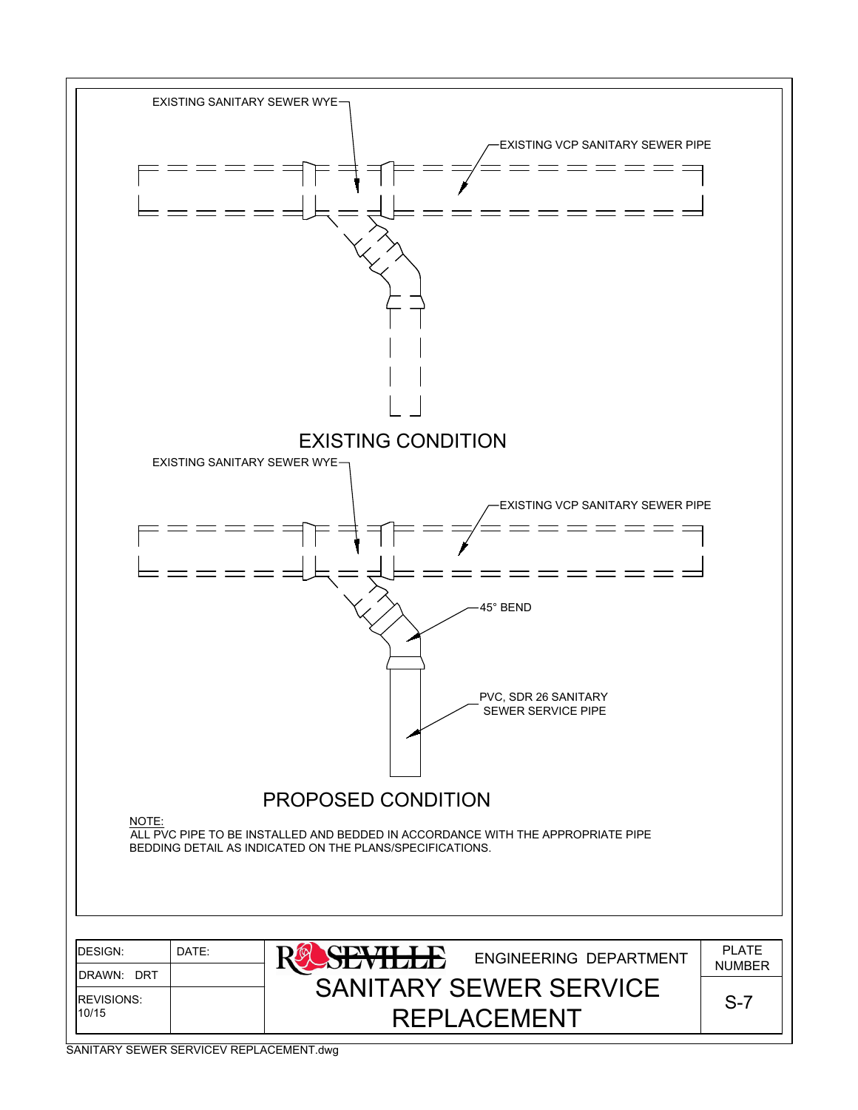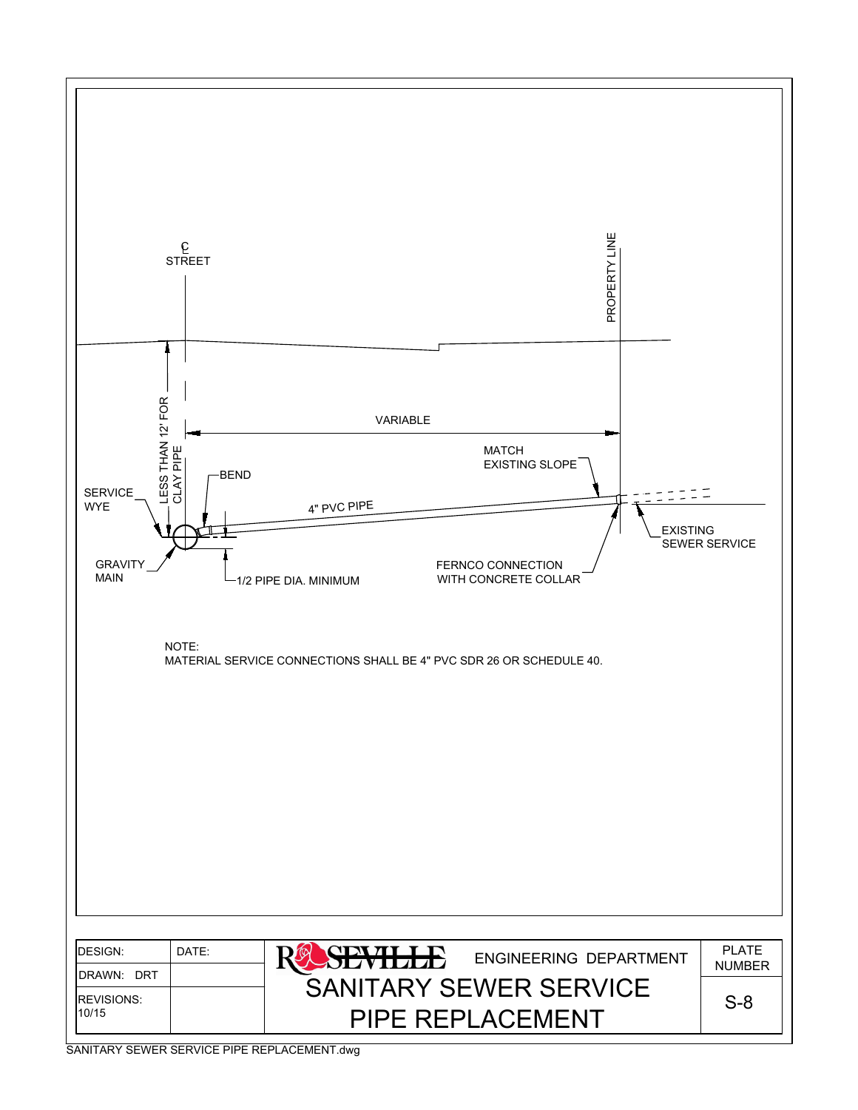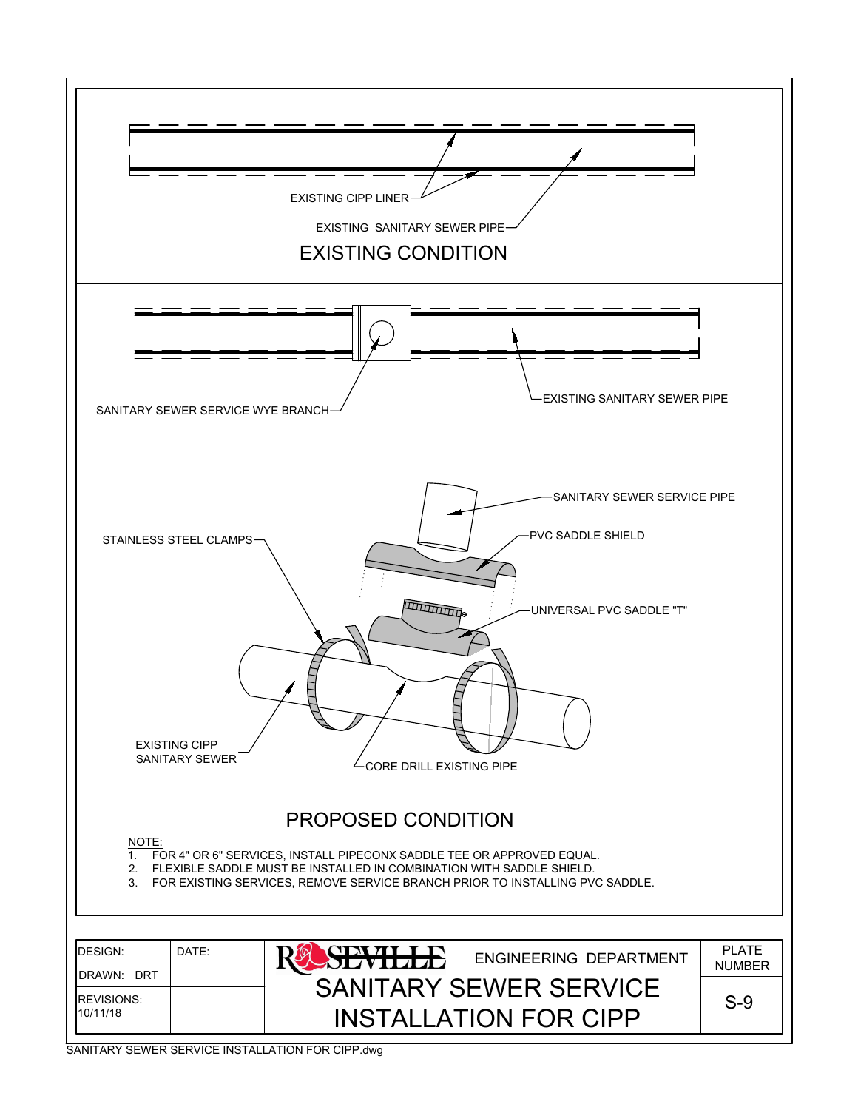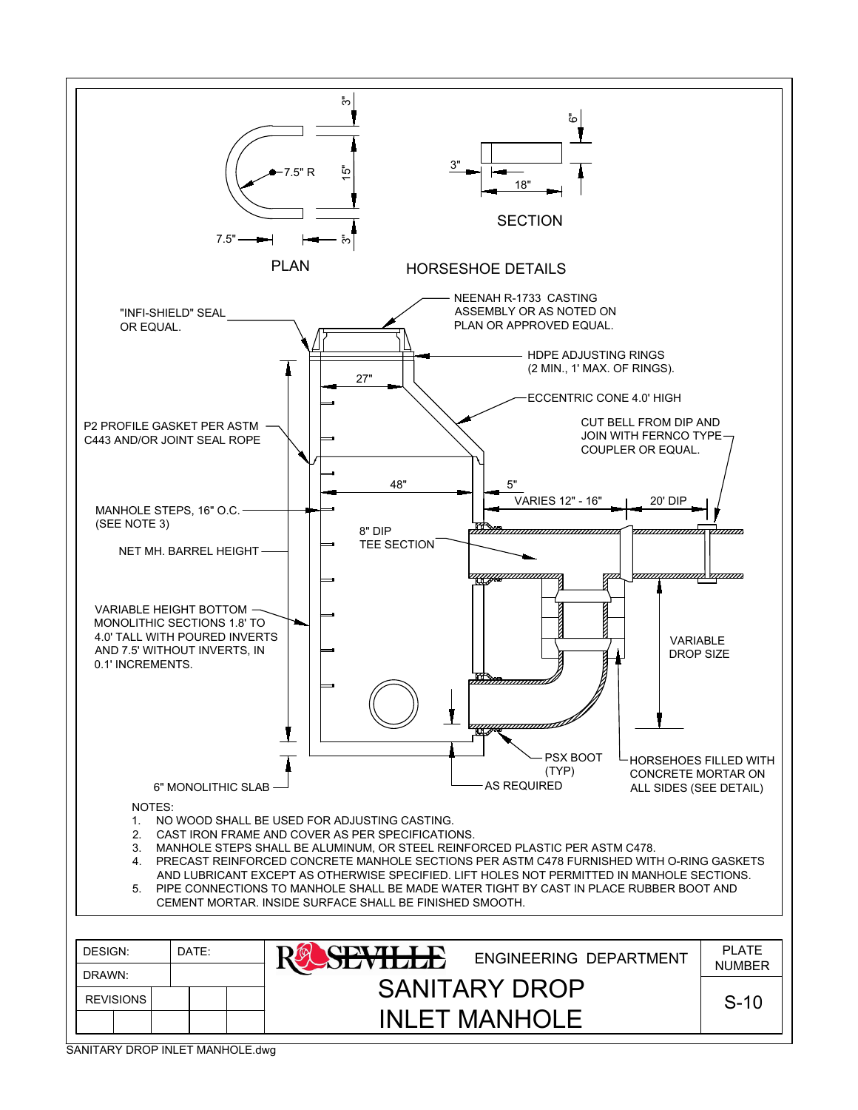